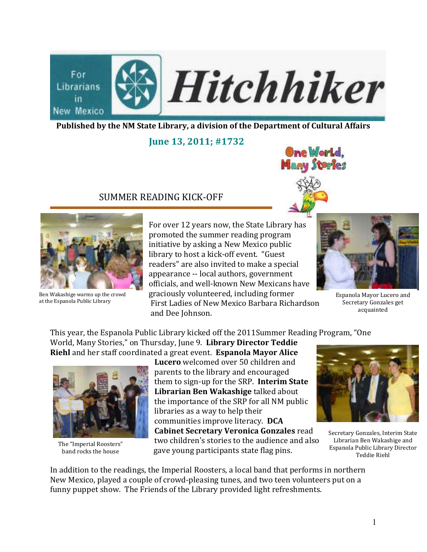

Published by the NM State Library, a division of the Department of Cultural Affairs

June 13, 2011; #1732

## SUMMER READING KICK-OFF





Ben Wakashige warms up the crowd at the Espanola Public Library

For over 12 years now, the State Library has promoted the summer reading program initiative by asking a New Mexico public library to host a kick-off event. "Guest readers" are also invited to make a special appearance -- local authors, government officials, and well-known New Mexicans have graciously volunteered, including former First Ladies of New Mexico Barbara Richardson and Dee Johnson.



Espanola Mayor Lucero and Secretary Gonzales get acquainted

This year, the Espanola Public Library kicked off the 2011Summer Reading Program, "One World, Many Stories," on Thursday, June 9. Library Director Teddie Riehl and her staff coordinated a great event. Espanola Mayor Alice



The "Imperial Roosters" band rocks the house

Lucero welcomed over 50 children and parents to the library and encouraged them to sign-up for the SRP. Interim State Librarian Ben Wakashige talked about the importance of the SRP for all NM public libraries as a way to help their communities improve literacy. DCA Cabinet Secretary Veronica Gonzales read two children's stories to the audience and also gave young participants state flag pins.



Secretary Gonzales, Interim State Librarian Ben Wakashige and Espanola Public Library Director Teddie Riehl

In addition to the readings, the Imperial Roosters, a local band that performs in northern New Mexico, played a couple of crowd-pleasing tunes, and two teen volunteers put on a funny puppet show. The Friends of the Library provided light refreshments.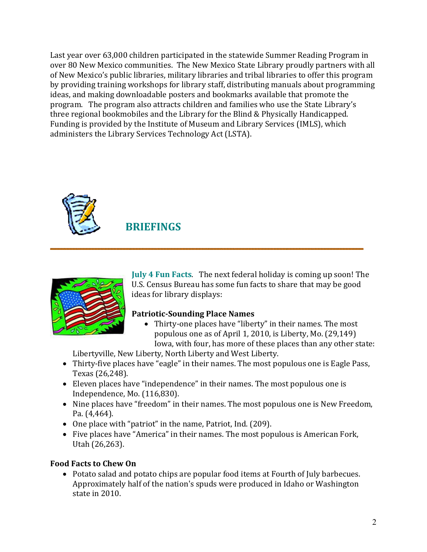Last year over 63,000 children participated in the statewide Summer Reading Program in over 80 New Mexico communities. The New Mexico State Library proudly partners with all of New Mexico's public libraries, military libraries and tribal libraries to offer this program by providing training workshops for library staff, distributing manuals about programming ideas, and making downloadable posters and bookmarks available that promote the program. The program also attracts children and families who use the State Library's three regional bookmobiles and the Library for the Blind & Physically Handicapped. Funding is provided by the Institute of Museum and Library Services (IMLS), which administers the Library Services Technology Act (LSTA).



# **BRIEFINGS**



July 4 Fun Facts. The next federal holiday is coming up soon! The U.S. Census Bureau has some fun facts to share that may be good ideas for library displays:

### Patriotic-Sounding Place Names

• Thirty-one places have "liberty" in their names. The most populous one as of April 1, 2010, is Liberty, Mo. (29,149) Iowa, with four, has more of these places than any other state:

Libertyville, New Liberty, North Liberty and West Liberty.

- Thirty-five places have "eagle" in their names. The most populous one is Eagle Pass, Texas (26,248).
- Eleven places have "independence" in their names. The most populous one is Independence, Mo. (116,830).
- Nine places have "freedom" in their names. The most populous one is New Freedom, Pa. (4,464).
- One place with "patriot" in the name, Patriot, Ind. (209).
- Five places have "America" in their names. The most populous is American Fork, Utah (26,263).

## Food Facts to Chew On

• Potato salad and potato chips are popular food items at Fourth of July barbecues. Approximately half of the nation's spuds were produced in Idaho or Washington state in 2010.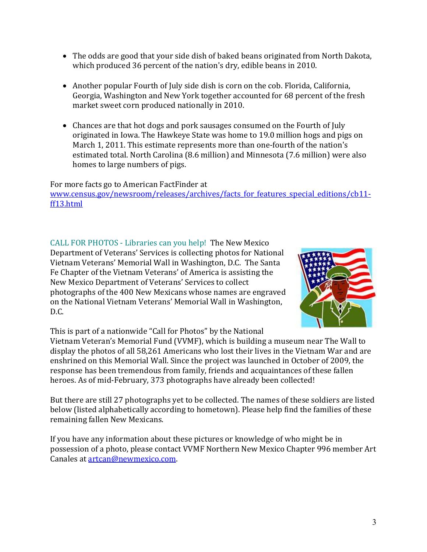- The odds are good that your side dish of baked beans originated from North Dakota, which produced 36 percent of the nation's dry, edible beans in 2010.
- Another popular Fourth of July side dish is corn on the cob. Florida, California, Georgia, Washington and New York together accounted for 68 percent of the fresh market sweet corn produced nationally in 2010.
- Chances are that hot dogs and pork sausages consumed on the Fourth of July originated in Iowa. The Hawkeye State was home to 19.0 million hogs and pigs on March 1, 2011. This estimate represents more than one-fourth of the nation's estimated total. North Carolina (8.6 million) and Minnesota (7.6 million) were also homes to large numbers of pigs.

For more facts go to American FactFinder at www.census.gov/newsroom/releases/archives/facts for features special editions/cb11ff13.html

CALL FOR PHOTOS - Libraries can you help! The New Mexico Department of Veterans' Services is collecting photos for National Vietnam Veterans' Memorial Wall in Washington, D.C. The Santa Fe Chapter of the Vietnam Veterans' of America is assisting the New Mexico Department of Veterans' Services to collect photographs of the 400 New Mexicans whose names are engraved on the National Vietnam Veterans' Memorial Wall in Washington, D.C.



This is part of a nationwide "Call for Photos" by the National

Vietnam Veteran's Memorial Fund (VVMF), which is building a museum near The Wall to display the photos of all 58,261 Americans who lost their lives in the Vietnam War and are enshrined on this Memorial Wall. Since the project was launched in October of 2009, the response has been tremendous from family, friends and acquaintances of these fallen heroes. As of mid-February, 373 photographs have already been collected!

But there are still 27 photographs yet to be collected. The names of these soldiers are listed below (listed alphabetically according to hometown). Please help find the families of these remaining fallen New Mexicans.

If you have any information about these pictures or knowledge of who might be in possession of a photo, please contact VVMF Northern New Mexico Chapter 996 member Art Canales at artcan@newmexico.com.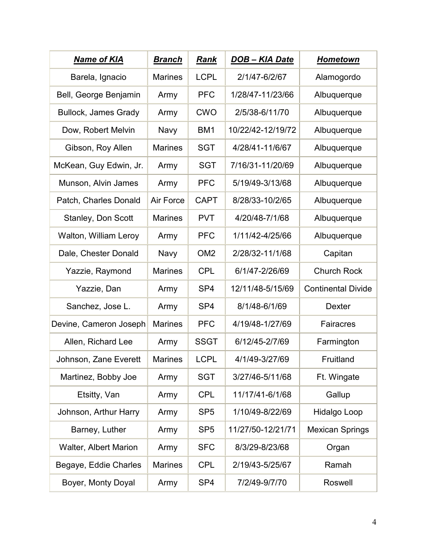| <b>Name of KIA</b>          | <u>Branch</u>  | <b>Rank</b>     | <u>DOB – KIA Date</u> | <b>Hometown</b>           |
|-----------------------------|----------------|-----------------|-----------------------|---------------------------|
| Barela, Ignacio             | <b>Marines</b> | <b>LCPL</b>     | 2/1/47-6/2/67         | Alamogordo                |
| Bell, George Benjamin       | Army           | <b>PFC</b>      | 1/28/47-11/23/66      | Albuquerque               |
| <b>Bullock, James Grady</b> | Army           | <b>CWO</b>      | 2/5/38-6/11/70        | Albuquerque               |
| Dow, Robert Melvin          | Navy           | BM <sub>1</sub> | 10/22/42-12/19/72     | Albuquerque               |
| Gibson, Roy Allen           | <b>Marines</b> | <b>SGT</b>      | 4/28/41-11/6/67       | Albuquerque               |
| McKean, Guy Edwin, Jr.      | Army           | <b>SGT</b>      | 7/16/31-11/20/69      | Albuquerque               |
| Munson, Alvin James         | Army           | <b>PFC</b>      | 5/19/49-3/13/68       | Albuquerque               |
| Patch, Charles Donald       | Air Force      | <b>CAPT</b>     | 8/28/33-10/2/65       | Albuquerque               |
| Stanley, Don Scott          | <b>Marines</b> | <b>PVT</b>      | 4/20/48-7/1/68        | Albuquerque               |
| Walton, William Leroy       | Army           | <b>PFC</b>      | 1/11/42-4/25/66       | Albuquerque               |
| Dale, Chester Donald        | Navy           | OM <sub>2</sub> | 2/28/32-11/1/68       | Capitan                   |
| Yazzie, Raymond             | <b>Marines</b> | <b>CPL</b>      | 6/1/47-2/26/69        | <b>Church Rock</b>        |
| Yazzie, Dan                 | Army           | SP <sub>4</sub> | 12/11/48-5/15/69      | <b>Continental Divide</b> |
| Sanchez, Jose L.            | Army           | SP <sub>4</sub> | 8/1/48-6/1/69         | <b>Dexter</b>             |
| Devine, Cameron Joseph      | <b>Marines</b> | <b>PFC</b>      | 4/19/48-1/27/69       | Fairacres                 |
| Allen, Richard Lee          | Army           | <b>SSGT</b>     | 6/12/45-2/7/69        | Farmington                |
| Johnson, Zane Everett       | <b>Marines</b> | <b>LCPL</b>     | 4/1/49-3/27/69        | Fruitland                 |
| Martinez, Bobby Joe         | Army           | <b>SGT</b>      | 3/27/46-5/11/68       | Ft. Wingate               |
| Etsitty, Van                | Army           | <b>CPL</b>      | 11/17/41-6/1/68       | Gallup                    |
| Johnson, Arthur Harry       | Army           | SP <sub>5</sub> | 1/10/49-8/22/69       | Hidalgo Loop              |
| Barney, Luther              | Army           | SP <sub>5</sub> | 11/27/50-12/21/71     | <b>Mexican Springs</b>    |
| Walter, Albert Marion       | Army           | <b>SFC</b>      | 8/3/29-8/23/68        | Organ                     |
| Begaye, Eddie Charles       | <b>Marines</b> | <b>CPL</b>      | 2/19/43-5/25/67       | Ramah                     |
| Boyer, Monty Doyal          | Army           | SP <sub>4</sub> | 7/2/49-9/7/70         | Roswell                   |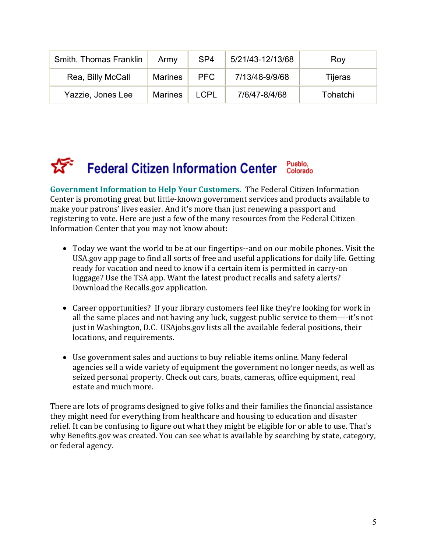| Smith, Thomas Franklin | Army           | SP <sub>4</sub> | 5/21/43-12/13/68 | Roy      |
|------------------------|----------------|-----------------|------------------|----------|
| Rea, Billy McCall      | <b>Marines</b> | <b>PFC</b>      | 7/13/48-9/9/68   | Tijeras  |
| Yazzie, Jones Lee      | <b>Marines</b> | <b>LCPL</b>     | 7/6/47-8/4/68    | Tohatchi |

### Pueblo,<br>Colorado **Federal Citizen Information Center**

Government Information to Help Your Customers. The Federal Citizen Information Center is promoting great but little-known government services and products available to make your patrons' lives easier. And it's more than just renewing a passport and registering to vote. Here are just a few of the many resources from the Federal Citizen Information Center that you may not know about:

- Today we want the world to be at our fingertips--and on our mobile phones. Visit the USA.gov app page to find all sorts of free and useful applications for daily life. Getting ready for vacation and need to know if a certain item is permitted in carry-on luggage? Use the TSA app. Want the latest product recalls and safety alerts? Download the Recalls.gov application.
- Career opportunities? If your library customers feel like they're looking for work in all the same places and not having any luck, suggest public service to them—-it's not just in Washington, D.C. USAjobs.gov lists all the available federal positions, their locations, and requirements.
- Use government sales and auctions to buy reliable items online. Many federal agencies sell a wide variety of equipment the government no longer needs, as well as seized personal property. Check out cars, boats, cameras, office equipment, real estate and much more.

There are lots of programs designed to give folks and their families the financial assistance they might need for everything from healthcare and housing to education and disaster relief. It can be confusing to figure out what they might be eligible for or able to use. That's why Benefits.gov was created. You can see what is available by searching by state, category, or federal agency.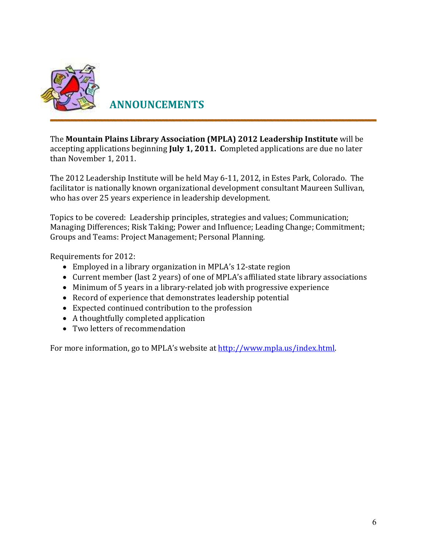

ANNOUNCEMENTS

The Mountain Plains Library Association (MPLA) 2012 Leadership Institute will be accepting applications beginning July 1, 2011. Completed applications are due no later than November 1, 2011.

The 2012 Leadership Institute will be held May 6-11, 2012, in Estes Park, Colorado. The facilitator is nationally known organizational development consultant Maureen Sullivan, who has over 25 years experience in leadership development.

Topics to be covered: Leadership principles, strategies and values; Communication; Managing Differences; Risk Taking; Power and Influence; Leading Change; Commitment; Groups and Teams: Project Management; Personal Planning.

Requirements for 2012:

- Employed in a library organization in MPLA's 12-state region
- Current member (last 2 years) of one of MPLA's affiliated state library associations
- Minimum of 5 years in a library-related job with progressive experience
- Record of experience that demonstrates leadership potential
- Expected continued contribution to the profession
- A thoughtfully completed application
- Two letters of recommendation

For more information, go to MPLA's website at http://www.mpla.us/index.html.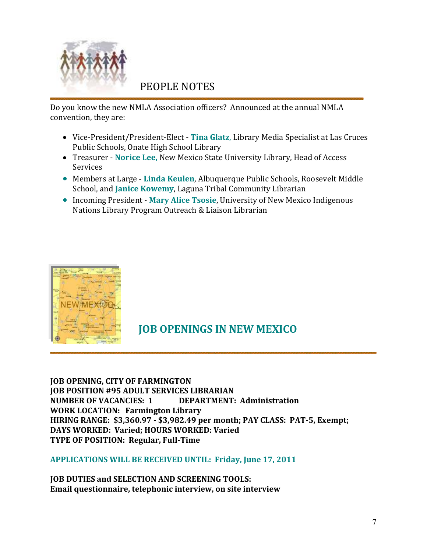

# PEOPLE NOTES

Do you know the new NMLA Association officers? Announced at the annual NMLA convention, they are:

- Vice-President/President-Elect Tina Glatz, Library Media Specialist at Las Cruces Public Schools, Onate High School Library
- Treasurer Norice Lee, New Mexico State University Library, Head of Access Services
- Members at Large Linda Keulen, Albuquerque Public Schools, Roosevelt Middle School, and Janice Kowemy, Laguna Tribal Community Librarian
- Incoming President Mary Alice Tsosie, University of New Mexico Indigenous Nations Library Program Outreach & Liaison Librarian



# JOB OPENINGS IN NEW MEXICO

JOB OPENING, CITY OF FARMINGTON JOB POSITION #95 ADULT SERVICES LIBRARIAN NUMBER OF VACANCIES: 1 DEPARTMENT: Administration WORK LOCATION: Farmington Library HIRING RANGE: \$3,360.97 - \$3,982.49 per month; PAY CLASS: PAT-5, Exempt; DAYS WORKED: Varied; HOURS WORKED: Varied TYPE OF POSITION: Regular, Full-Time

#### APPLICATIONS WILL BE RECEIVED UNTIL: Friday, June 17, 2011

JOB DUTIES and SELECTION AND SCREENING TOOLS: Email questionnaire, telephonic interview, on site interview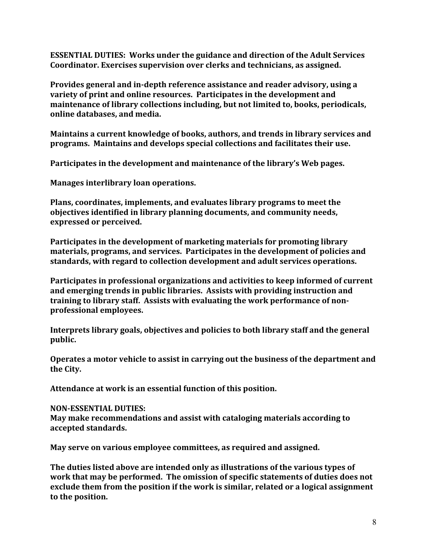ESSENTIAL DUTIES: Works under the guidance and direction of the Adult Services Coordinator. Exercises supervision over clerks and technicians, as assigned.

Provides general and in-depth reference assistance and reader advisory, using a variety of print and online resources. Participates in the development and maintenance of library collections including, but not limited to, books, periodicals, online databases, and media.

Maintains a current knowledge of books, authors, and trends in library services and programs. Maintains and develops special collections and facilitates their use.

Participates in the development and maintenance of the library's Web pages.

Manages interlibrary loan operations.

Plans, coordinates, implements, and evaluates library programs to meet the objectives identified in library planning documents, and community needs, expressed or perceived.

Participates in the development of marketing materials for promoting library materials, programs, and services. Participates in the development of policies and standards, with regard to collection development and adult services operations.

Participates in professional organizations and activities to keep informed of current and emerging trends in public libraries. Assists with providing instruction and training to library staff. Assists with evaluating the work performance of nonprofessional employees.

Interprets library goals, objectives and policies to both library staff and the general public.

Operates a motor vehicle to assist in carrying out the business of the department and the City.

Attendance at work is an essential function of this position.

#### NON-ESSENTIAL DUTIES:

May make recommendations and assist with cataloging materials according to accepted standards.

May serve on various employee committees, as required and assigned.

The duties listed above are intended only as illustrations of the various types of work that may be performed. The omission of specific statements of duties does not exclude them from the position if the work is similar, related or a logical assignment to the position.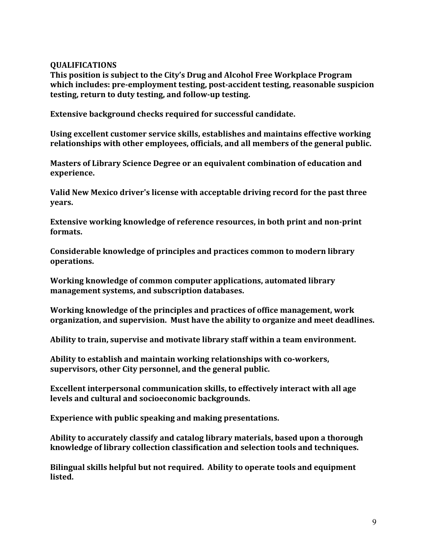#### QUALIFICATIONS

This position is subject to the City's Drug and Alcohol Free Workplace Program which includes: pre-employment testing, post-accident testing, reasonable suspicion testing, return to duty testing, and follow-up testing.

Extensive background checks required for successful candidate.

Using excellent customer service skills, establishes and maintains effective working relationships with other employees, officials, and all members of the general public.

Masters of Library Science Degree or an equivalent combination of education and experience.

Valid New Mexico driver's license with acceptable driving record for the past three years.

Extensive working knowledge of reference resources, in both print and non-print formats.

Considerable knowledge of principles and practices common to modern library operations.

Working knowledge of common computer applications, automated library management systems, and subscription databases.

Working knowledge of the principles and practices of office management, work organization, and supervision. Must have the ability to organize and meet deadlines.

Ability to train, supervise and motivate library staff within a team environment.

Ability to establish and maintain working relationships with co-workers, supervisors, other City personnel, and the general public.

Excellent interpersonal communication skills, to effectively interact with all age levels and cultural and socioeconomic backgrounds.

Experience with public speaking and making presentations.

Ability to accurately classify and catalog library materials, based upon a thorough knowledge of library collection classification and selection tools and techniques.

Bilingual skills helpful but not required. Ability to operate tools and equipment listed.